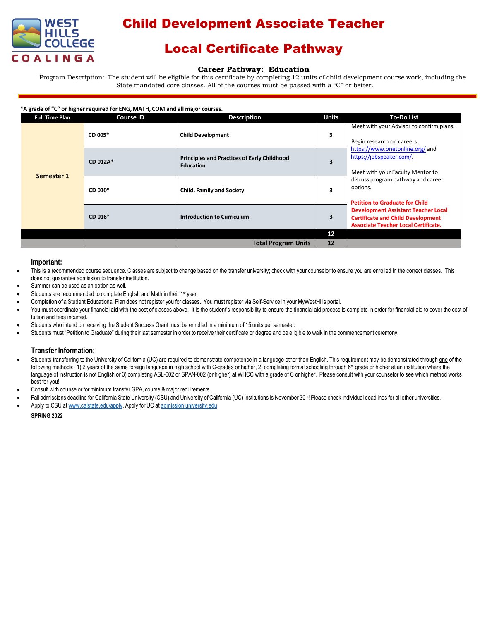

# Child Development Associate Teacher

## Local Certificate Pathway

### **Career Pathway: Education**

Program Description: The student will be eligible for this certificate by completing 12 units of child development course work, including the State mandated core classes. All of the courses must be passed with a "C" or better.

#### **\*A grade of "C" or higher required for ENG, MATH, COM and all major courses.**

| <b>Full Time Plan</b> | <b>Course ID</b> | <b>Description</b>                                                     | <b>Units</b> | <b>To-Do List</b>                                                                                                                                                                                                                                                                                                                                                                                            |
|-----------------------|------------------|------------------------------------------------------------------------|--------------|--------------------------------------------------------------------------------------------------------------------------------------------------------------------------------------------------------------------------------------------------------------------------------------------------------------------------------------------------------------------------------------------------------------|
| Semester 1            | CD 005*          | <b>Child Development</b>                                               | 3            | Meet with your Advisor to confirm plans.<br>Begin research on careers.<br>https://www.onetonline.org/and<br>https://jobspeaker.com/.<br>Meet with your Faculty Mentor to<br>discuss program pathway and career<br>options.<br><b>Petition to Graduate for Child</b><br><b>Development Assistant Teacher Local</b><br><b>Certificate and Child Development</b><br><b>Associate Teacher Local Certificate.</b> |
|                       | CD 012A*         | <b>Principles and Practices of Early Childhood</b><br><b>Education</b> | 3            |                                                                                                                                                                                                                                                                                                                                                                                                              |
|                       | CD 010*          | <b>Child, Family and Society</b>                                       | 3            |                                                                                                                                                                                                                                                                                                                                                                                                              |
|                       | CD 016*          | <b>Introduction to Curriculum</b>                                      | 3            |                                                                                                                                                                                                                                                                                                                                                                                                              |
|                       |                  |                                                                        | 12           |                                                                                                                                                                                                                                                                                                                                                                                                              |
|                       |                  | <b>Total Program Units</b>                                             | 12           |                                                                                                                                                                                                                                                                                                                                                                                                              |

### **Important:**

- This is a recommended course sequence. Classes are subject to change based on the transfer university; check with your counselor to ensure you are enrolled in the correct classes. This does not guarantee admission to transfer institution.
- Summer can be used as an option as well.
- Students are recommended to complete English and Math in their 1<sup>st</sup> year.
- Completion of a Student Educational Plan does not register you for classes. You must register via Self-Service in your MyWestHills portal.
- You must coordinate your financial aid with the cost of classes above. It is the student's responsibility to ensure the financial aid process is complete in order for financial aid to cover the cost of tuition and fees incurred.
- Students who intend on receiving the Student Success Grant must be enrolled in a minimum of 15 units per semester.
- Students must "Petition to Graduate" during their last semester in order to receive their certificate or degree and be eligible to walk in the commencement ceremony.

### **Transfer Information:**

- Students transferring to the University of California (UC) are required to demonstrate competence in a language other than English. This requirement may be demonstrated through one of the following methods: 1) 2 years of the same foreign language in high school with C-grades or higher, 2) completing formal schooling through 6<sup>th</sup> grade or higher at an institution where the language of instruction is not English or 3) completing ASL-002 or SPAN-002 (or higher) at WHCC with a grade of C or higher. Please consult with your counselor to see which method works best for you!
- Consult with counselor for minimum transfer GPA, course & major requirements.
- Fall admissions deadline for California State University (CSU) and University of California (UC) institutions is November 30<sup>th</sup>! Please check individual deadlines for all other universities.
- Apply to CSU at [www.calstate.edu/apply.](http://www.calstate.edu/apply) Apply for UC at [admission.university.edu.](http://www.apply.universityofcalifornia.edu/)

### **SPRING 2022**